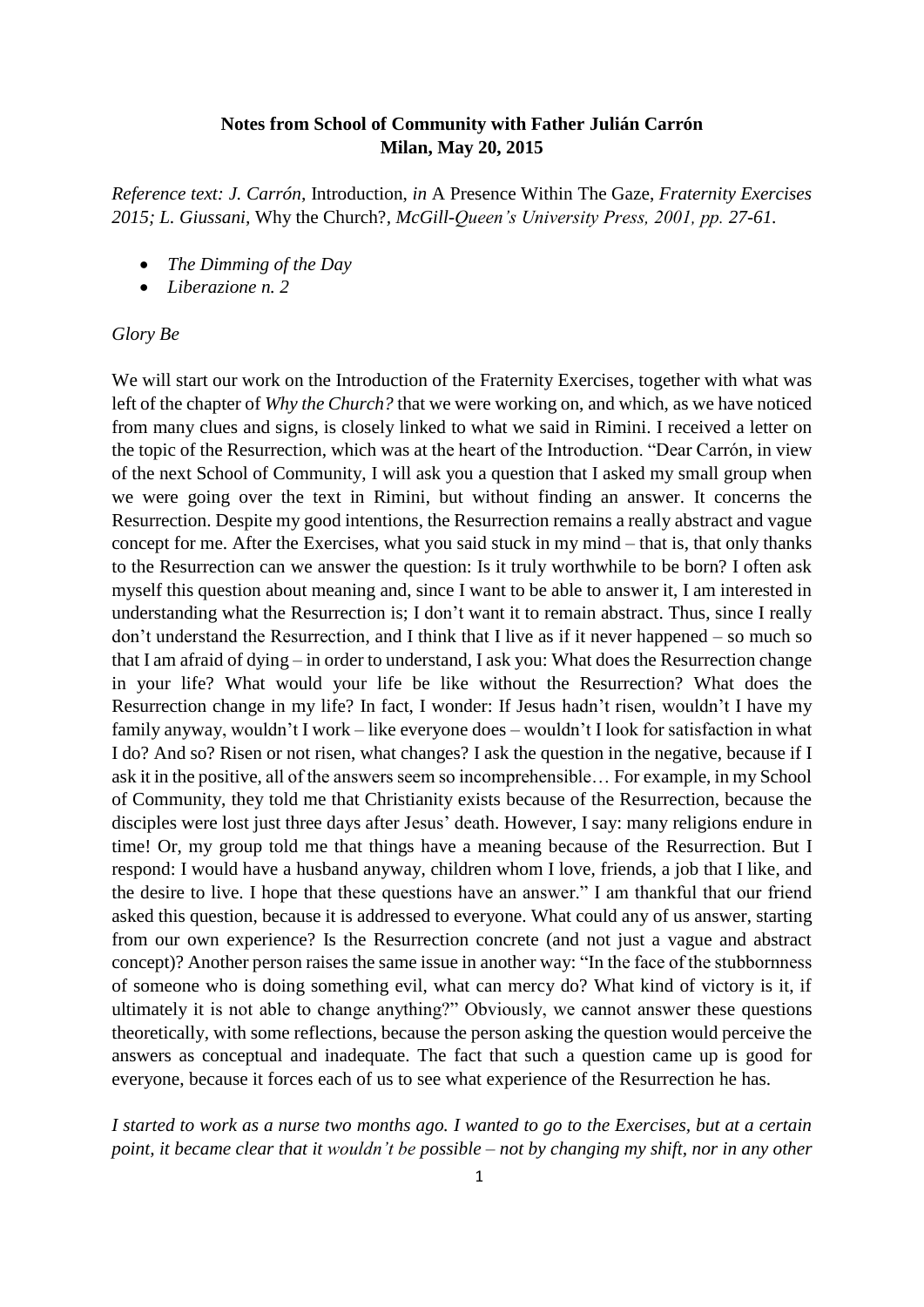## **Notes from School of Community with Father Julián Carrón Milan, May 20, 2015**

*Reference text: J. Carrón,* Introduction, *in* A Presence Within The Gaze, *Fraternity Exercises 2015; L. Giussani,* Why the Church?*, McGill-Queen's University Press, 2001, pp. 27-61.*

- *The Dimming of the Day*
- *Liberazione n. 2*

## *Glory Be*

We will start our work on the Introduction of the Fraternity Exercises, together with what was left of the chapter of *Why the Church?* that we were working on, and which, as we have noticed from many clues and signs, is closely linked to what we said in Rimini. I received a letter on the topic of the Resurrection, which was at the heart of the Introduction. "Dear Carrón, in view of the next School of Community, I will ask you a question that I asked my small group when we were going over the text in Rimini, but without finding an answer. It concerns the Resurrection. Despite my good intentions, the Resurrection remains a really abstract and vague concept for me. After the Exercises, what you said stuck in my mind – that is, that only thanks to the Resurrection can we answer the question: Is it truly worthwhile to be born? I often ask myself this question about meaning and, since I want to be able to answer it, I am interested in understanding what the Resurrection is; I don't want it to remain abstract. Thus, since I really don't understand the Resurrection, and I think that I live as if it never happened – so much so that I am afraid of dying – in order to understand, I ask you: What does the Resurrection change in your life? What would your life be like without the Resurrection? What does the Resurrection change in my life? In fact, I wonder: If Jesus hadn't risen, wouldn't I have my family anyway, wouldn't I work – like everyone does – wouldn't I look for satisfaction in what I do? And so? Risen or not risen, what changes? I ask the question in the negative, because if I ask it in the positive, all of the answers seem so incomprehensible… For example, in my School of Community, they told me that Christianity exists because of the Resurrection, because the disciples were lost just three days after Jesus' death. However, I say: many religions endure in time! Or, my group told me that things have a meaning because of the Resurrection. But I respond: I would have a husband anyway, children whom I love, friends, a job that I like, and the desire to live. I hope that these questions have an answer." I am thankful that our friend asked this question, because it is addressed to everyone. What could any of us answer, starting from our own experience? Is the Resurrection concrete (and not just a vague and abstract concept)? Another person raises the same issue in another way: "In the face of the stubbornness of someone who is doing something evil, what can mercy do? What kind of victory is it, if ultimately it is not able to change anything?" Obviously, we cannot answer these questions theoretically, with some reflections, because the person asking the question would perceive the answers as conceptual and inadequate. The fact that such a question came up is good for everyone, because it forces each of us to see what experience of the Resurrection he has.

*I started to work as a nurse two months ago. I wanted to go to the Exercises, but at a certain point, it became clear that it wouldn't be possible – not by changing my shift, nor in any other*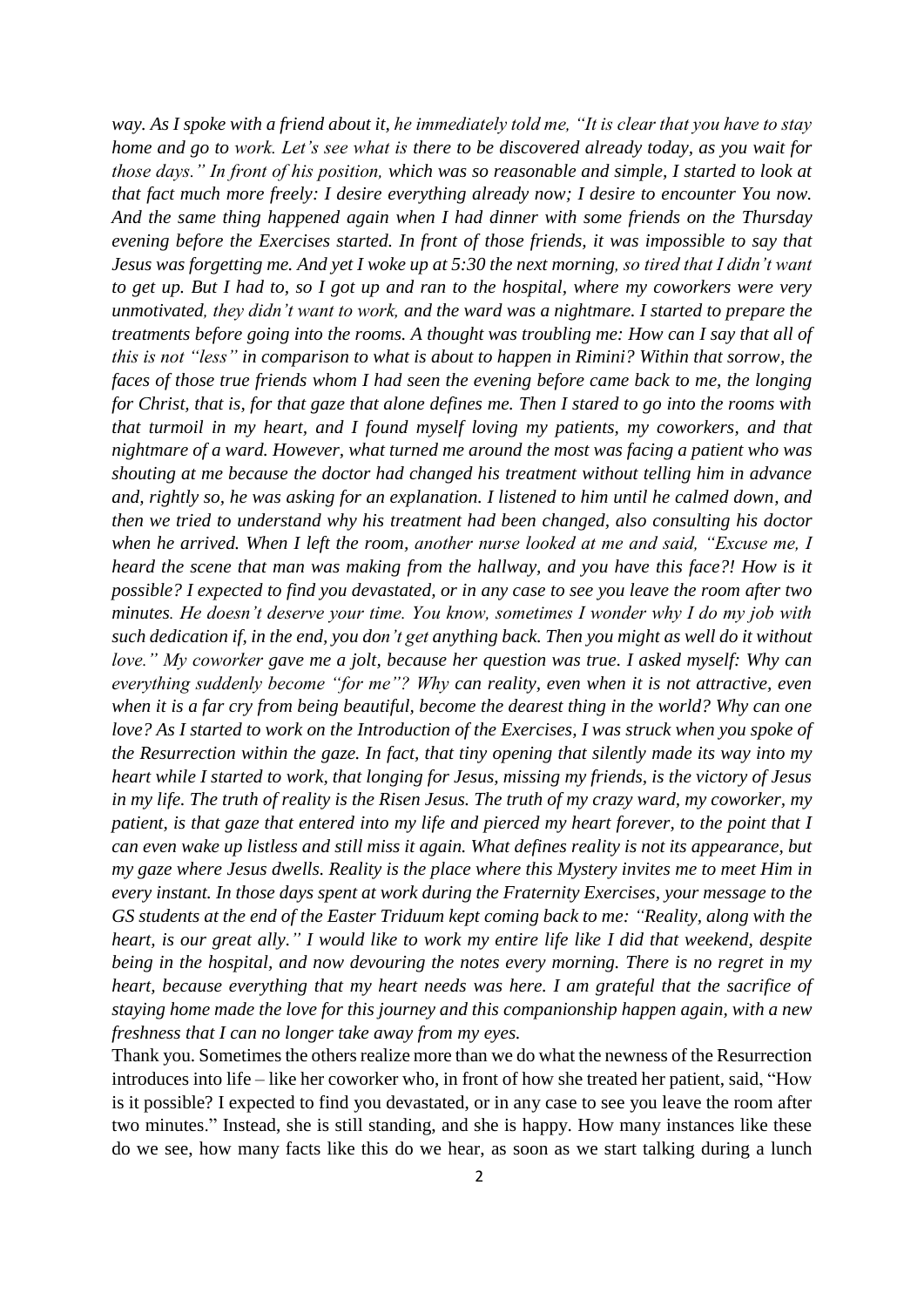*way. As I spoke with a friend about it, he immediately told me, "It is clear that you have to stay home and go to work. Let's see what is there to be discovered already today, as you wait for those days." In front of his position, which was so reasonable and simple, I started to look at that fact much more freely: I desire everything already now; I desire to encounter You now. And the same thing happened again when I had dinner with some friends on the Thursday evening before the Exercises started. In front of those friends, it was impossible to say that Jesus was forgetting me. And yet I woke up at 5:30 the next morning, so tired that I didn't want to get up. But I had to, so I got up and ran to the hospital, where my coworkers were very unmotivated, they didn't want to work, and the ward was a nightmare. I started to prepare the treatments before going into the rooms. A thought was troubling me: How can I say that all of this is not "less" in comparison to what is about to happen in Rimini? Within that sorrow, the faces of those true friends whom I had seen the evening before came back to me, the longing for Christ, that is, for that gaze that alone defines me. Then I stared to go into the rooms with that turmoil in my heart, and I found myself loving my patients, my coworkers, and that nightmare of a ward. However, what turned me around the most was facing a patient who was shouting at me because the doctor had changed his treatment without telling him in advance and, rightly so, he was asking for an explanation. I listened to him until he calmed down, and then we tried to understand why his treatment had been changed, also consulting his doctor when he arrived. When I left the room, another nurse looked at me and said, "Excuse me, I heard the scene that man was making from the hallway, and you have this face?! How is it possible? I expected to find you devastated, or in any case to see you leave the room after two minutes. He doesn't deserve your time. You know, sometimes I wonder why I do my job with such dedication if, in the end, you don't get anything back. Then you might as well do it without love." My coworker gave me a jolt, because her question was true. I asked myself: Why can everything suddenly become "for me"? Why can reality, even when it is not attractive, even when it is a far cry from being beautiful, become the dearest thing in the world? Why can one love? As I started to work on the Introduction of the Exercises, I was struck when you spoke of the Resurrection within the gaze. In fact, that tiny opening that silently made its way into my heart while I started to work, that longing for Jesus, missing my friends, is the victory of Jesus in my life. The truth of reality is the Risen Jesus. The truth of my crazy ward, my coworker, my patient, is that gaze that entered into my life and pierced my heart forever, to the point that I can even wake up listless and still miss it again. What defines reality is not its appearance, but my gaze where Jesus dwells. Reality is the place where this Mystery invites me to meet Him in every instant. In those days spent at work during the Fraternity Exercises, your message to the GS students at the end of the Easter Triduum kept coming back to me: "Reality, along with the heart, is our great ally." I would like to work my entire life like I did that weekend, despite being in the hospital, and now devouring the notes every morning. There is no regret in my heart, because everything that my heart needs was here. I am grateful that the sacrifice of staying home made the love for this journey and this companionship happen again, with a new freshness that I can no longer take away from my eyes.*

Thank you. Sometimes the others realize more than we do what the newness of the Resurrection introduces into life – like her coworker who, in front of how she treated her patient, said, "How is it possible? I expected to find you devastated, or in any case to see you leave the room after two minutes." Instead, she is still standing, and she is happy. How many instances like these do we see, how many facts like this do we hear, as soon as we start talking during a lunch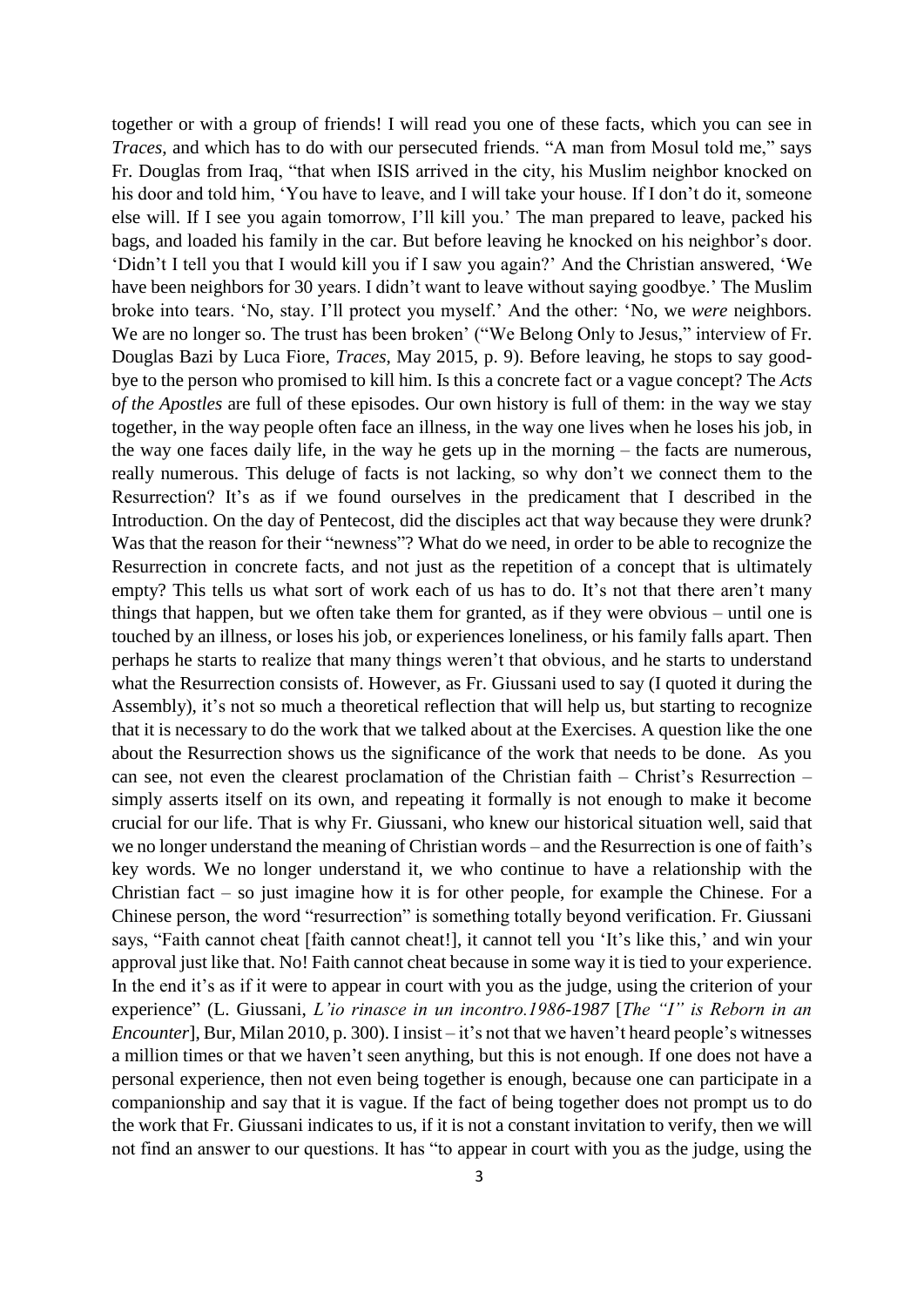together or with a group of friends! I will read you one of these facts, which you can see in *Traces*, and which has to do with our persecuted friends. "A man from Mosul told me," says Fr. Douglas from Iraq, "that when ISIS arrived in the city, his Muslim neighbor knocked on his door and told him, 'You have to leave, and I will take your house. If I don't do it, someone else will. If I see you again tomorrow, I'll kill you.' The man prepared to leave, packed his bags, and loaded his family in the car. But before leaving he knocked on his neighbor's door. 'Didn't I tell you that I would kill you if I saw you again?' And the Christian answered, 'We have been neighbors for 30 years. I didn't want to leave without saying goodbye.' The Muslim broke into tears. 'No, stay. I'll protect you myself.' And the other: 'No, we *were* neighbors. We are no longer so. The trust has been broken' ("We Belong Only to Jesus," interview of Fr. Douglas Bazi by Luca Fiore, *Traces*, May 2015, p. 9). Before leaving, he stops to say goodbye to the person who promised to kill him. Is this a concrete fact or a vague concept? The *Acts of the Apostles* are full of these episodes. Our own history is full of them: in the way we stay together, in the way people often face an illness, in the way one lives when he loses his job, in the way one faces daily life, in the way he gets up in the morning – the facts are numerous, really numerous. This deluge of facts is not lacking, so why don't we connect them to the Resurrection? It's as if we found ourselves in the predicament that I described in the Introduction. On the day of Pentecost, did the disciples act that way because they were drunk? Was that the reason for their "newness"? What do we need, in order to be able to recognize the Resurrection in concrete facts, and not just as the repetition of a concept that is ultimately empty? This tells us what sort of work each of us has to do. It's not that there aren't many things that happen, but we often take them for granted, as if they were obvious – until one is touched by an illness, or loses his job, or experiences loneliness, or his family falls apart. Then perhaps he starts to realize that many things weren't that obvious, and he starts to understand what the Resurrection consists of. However, as Fr. Giussani used to say (I quoted it during the Assembly), it's not so much a theoretical reflection that will help us, but starting to recognize that it is necessary to do the work that we talked about at the Exercises. A question like the one about the Resurrection shows us the significance of the work that needs to be done. As you can see, not even the clearest proclamation of the Christian faith – Christ's Resurrection – simply asserts itself on its own, and repeating it formally is not enough to make it become crucial for our life. That is why Fr. Giussani, who knew our historical situation well, said that we no longer understand the meaning of Christian words – and the Resurrection is one of faith's key words. We no longer understand it, we who continue to have a relationship with the Christian fact – so just imagine how it is for other people, for example the Chinese. For a Chinese person, the word "resurrection" is something totally beyond verification. Fr. Giussani says, "Faith cannot cheat [faith cannot cheat!], it cannot tell you 'It's like this,' and win your approval just like that. No! Faith cannot cheat because in some way it is tied to your experience. In the end it's as if it were to appear in court with you as the judge, using the criterion of your experience" (L. Giussani, *L'io rinasce in un incontro.1986-1987* [*The "I" is Reborn in an Encounter*], Bur, Milan 2010, p. 300). I insist – it's not that we haven't heard people's witnesses a million times or that we haven't seen anything, but this is not enough. If one does not have a personal experience, then not even being together is enough, because one can participate in a companionship and say that it is vague. If the fact of being together does not prompt us to do the work that Fr. Giussani indicates to us, if it is not a constant invitation to verify, then we will not find an answer to our questions. It has "to appear in court with you as the judge, using the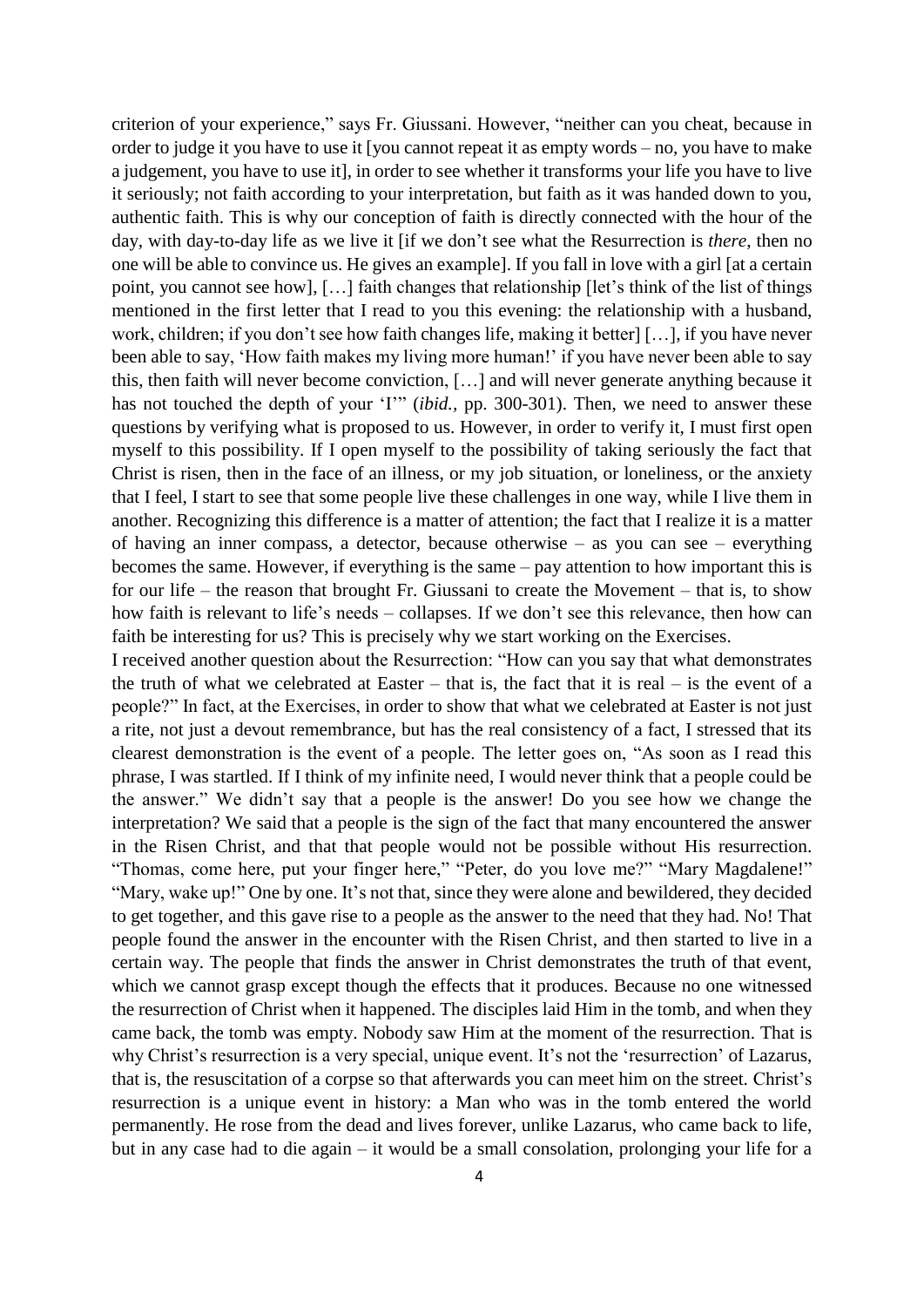criterion of your experience," says Fr. Giussani. However, "neither can you cheat, because in order to judge it you have to use it [you cannot repeat it as empty words – no, you have to make a judgement, you have to use it], in order to see whether it transforms your life you have to live it seriously; not faith according to your interpretation, but faith as it was handed down to you, authentic faith. This is why our conception of faith is directly connected with the hour of the day, with day-to-day life as we live it [if we don't see what the Resurrection is *there*, then no one will be able to convince us. He gives an example]. If you fall in love with a girl [at a certain point, you cannot see how], […] faith changes that relationship [let's think of the list of things mentioned in the first letter that I read to you this evening: the relationship with a husband, work, children; if you don't see how faith changes life, making it better] […], if you have never been able to say, 'How faith makes my living more human!' if you have never been able to say this, then faith will never become conviction, […] and will never generate anything because it has not touched the depth of your 'I'" *(ibid., pp. 300-301)*. Then, we need to answer these questions by verifying what is proposed to us. However, in order to verify it, I must first open myself to this possibility. If I open myself to the possibility of taking seriously the fact that Christ is risen, then in the face of an illness, or my job situation, or loneliness, or the anxiety that I feel, I start to see that some people live these challenges in one way, while I live them in another. Recognizing this difference is a matter of attention; the fact that I realize it is a matter of having an inner compass, a detector, because otherwise – as you can see – everything becomes the same. However, if everything is the same – pay attention to how important this is for our life – the reason that brought Fr. Giussani to create the Movement – that is, to show how faith is relevant to life's needs – collapses. If we don't see this relevance, then how can faith be interesting for us? This is precisely why we start working on the Exercises.

I received another question about the Resurrection: "How can you say that what demonstrates the truth of what we celebrated at Easter – that is, the fact that it is real – is the event of a people?" In fact, at the Exercises, in order to show that what we celebrated at Easter is not just a rite, not just a devout remembrance, but has the real consistency of a fact, I stressed that its clearest demonstration is the event of a people. The letter goes on, "As soon as I read this phrase, I was startled. If I think of my infinite need, I would never think that a people could be the answer." We didn't say that a people is the answer! Do you see how we change the interpretation? We said that a people is the sign of the fact that many encountered the answer in the Risen Christ, and that that people would not be possible without His resurrection. "Thomas, come here, put your finger here," "Peter, do you love me?" "Mary Magdalene!" "Mary, wake up!" One by one. It's not that, since they were alone and bewildered, they decided to get together, and this gave rise to a people as the answer to the need that they had. No! That people found the answer in the encounter with the Risen Christ, and then started to live in a certain way. The people that finds the answer in Christ demonstrates the truth of that event, which we cannot grasp except though the effects that it produces. Because no one witnessed the resurrection of Christ when it happened. The disciples laid Him in the tomb, and when they came back, the tomb was empty. Nobody saw Him at the moment of the resurrection. That is why Christ's resurrection is a very special, unique event. It's not the 'resurrection' of Lazarus, that is, the resuscitation of a corpse so that afterwards you can meet him on the street. Christ's resurrection is a unique event in history: a Man who was in the tomb entered the world permanently. He rose from the dead and lives forever, unlike Lazarus, who came back to life, but in any case had to die again – it would be a small consolation, prolonging your life for a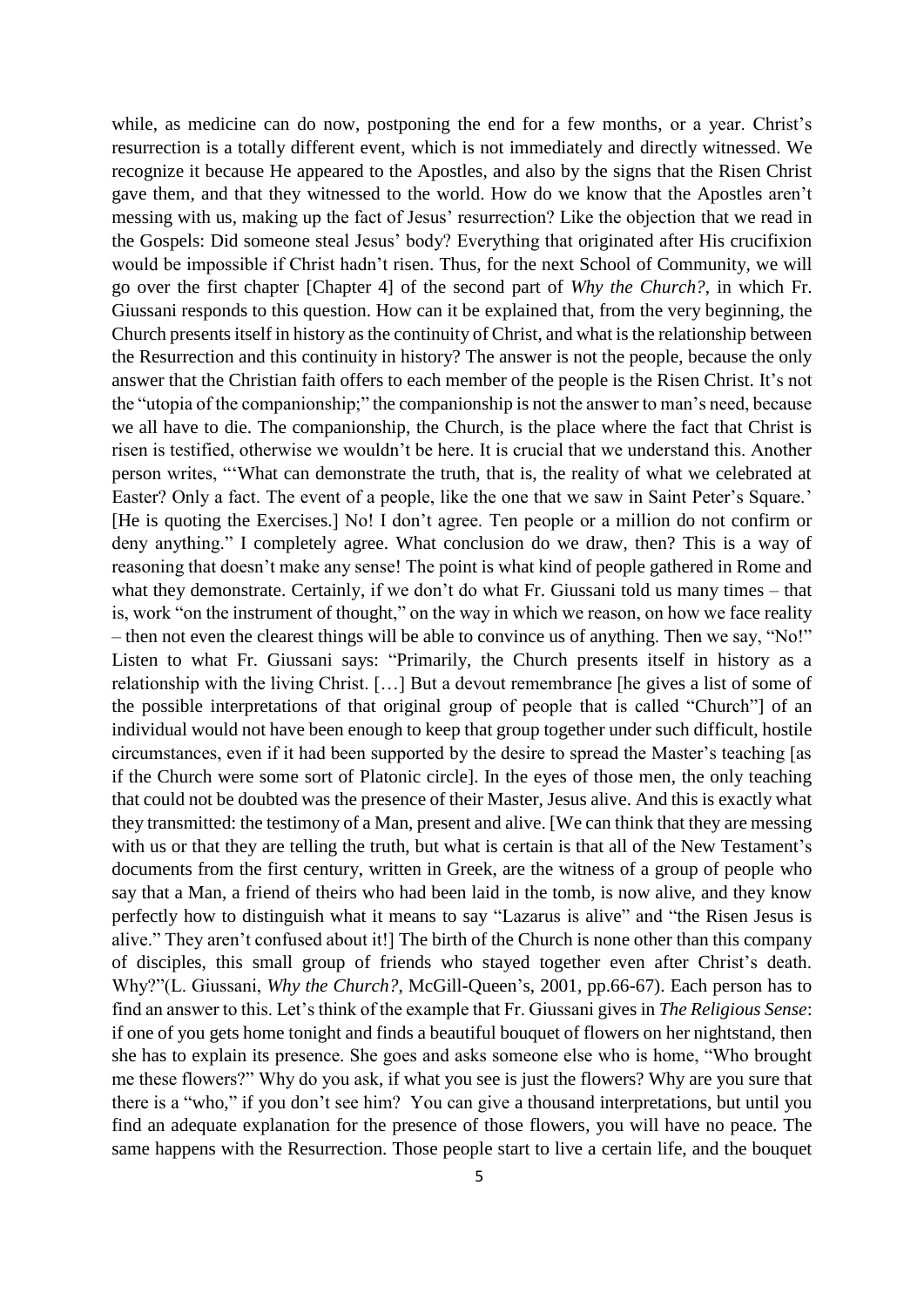while, as medicine can do now, postponing the end for a few months, or a year. Christ's resurrection is a totally different event, which is not immediately and directly witnessed. We recognize it because He appeared to the Apostles, and also by the signs that the Risen Christ gave them, and that they witnessed to the world. How do we know that the Apostles aren't messing with us, making up the fact of Jesus' resurrection? Like the objection that we read in the Gospels: Did someone steal Jesus' body? Everything that originated after His crucifixion would be impossible if Christ hadn't risen. Thus, for the next School of Community, we will go over the first chapter [Chapter 4] of the second part of *Why the Church?*, in which Fr. Giussani responds to this question. How can it be explained that, from the very beginning, the Church presents itself in history as the continuity of Christ, and what is the relationship between the Resurrection and this continuity in history? The answer is not the people, because the only answer that the Christian faith offers to each member of the people is the Risen Christ. It's not the "utopia of the companionship;" the companionship is not the answer to man's need, because we all have to die. The companionship, the Church, is the place where the fact that Christ is risen is testified, otherwise we wouldn't be here. It is crucial that we understand this. Another person writes, "'What can demonstrate the truth, that is, the reality of what we celebrated at Easter? Only a fact. The event of a people, like the one that we saw in Saint Peter's Square.' [He is quoting the Exercises.] No! I don't agree. Ten people or a million do not confirm or deny anything." I completely agree. What conclusion do we draw, then? This is a way of reasoning that doesn't make any sense! The point is what kind of people gathered in Rome and what they demonstrate. Certainly, if we don't do what Fr. Giussani told us many times – that is, work "on the instrument of thought," on the way in which we reason, on how we face reality – then not even the clearest things will be able to convince us of anything. Then we say, "No!" Listen to what Fr. Giussani says: "Primarily, the Church presents itself in history as a relationship with the living Christ. […] But a devout remembrance [he gives a list of some of the possible interpretations of that original group of people that is called "Church"] of an individual would not have been enough to keep that group together under such difficult, hostile circumstances, even if it had been supported by the desire to spread the Master's teaching [as if the Church were some sort of Platonic circle]. In the eyes of those men, the only teaching that could not be doubted was the presence of their Master, Jesus alive. And this is exactly what they transmitted: the testimony of a Man, present and alive. [We can think that they are messing with us or that they are telling the truth, but what is certain is that all of the New Testament's documents from the first century, written in Greek, are the witness of a group of people who say that a Man, a friend of theirs who had been laid in the tomb, is now alive, and they know perfectly how to distinguish what it means to say "Lazarus is alive" and "the Risen Jesus is alive." They aren't confused about it!] The birth of the Church is none other than this company of disciples, this small group of friends who stayed together even after Christ's death. Why?"(L. Giussani, *Why the Church?*, McGill-Queen's, 2001, pp.66-67). Each person has to find an answer to this. Let's think of the example that Fr. Giussani gives in *The Religious Sense*: if one of you gets home tonight and finds a beautiful bouquet of flowers on her nightstand, then she has to explain its presence. She goes and asks someone else who is home, "Who brought me these flowers?" Why do you ask, if what you see is just the flowers? Why are you sure that there is a "who," if you don't see him? You can give a thousand interpretations, but until you find an adequate explanation for the presence of those flowers, you will have no peace. The same happens with the Resurrection. Those people start to live a certain life, and the bouquet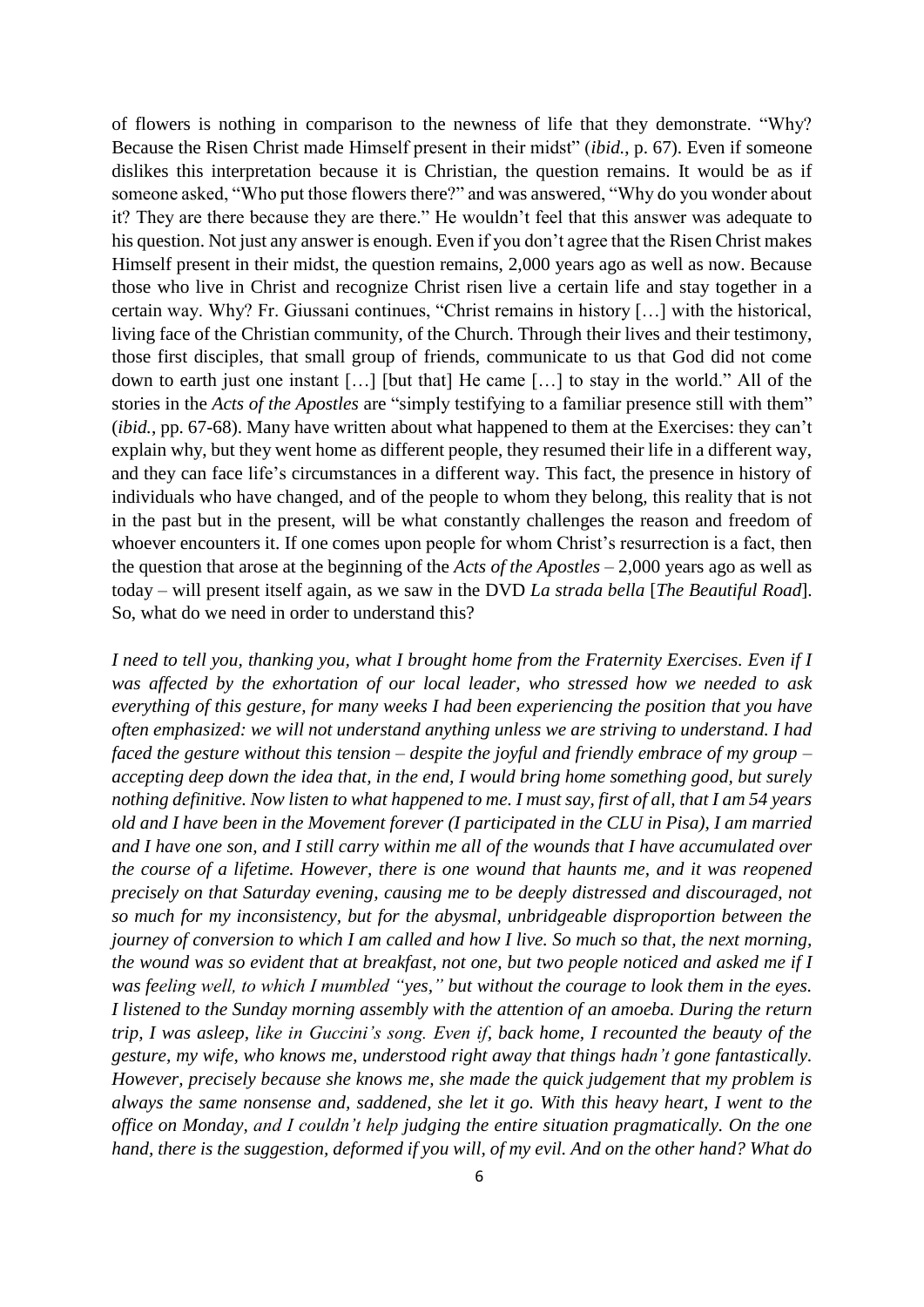of flowers is nothing in comparison to the newness of life that they demonstrate. "Why? Because the Risen Christ made Himself present in their midst" (*ibid.*, p. 67). Even if someone dislikes this interpretation because it is Christian, the question remains. It would be as if someone asked, "Who put those flowers there?" and was answered, "Why do you wonder about it? They are there because they are there." He wouldn't feel that this answer was adequate to his question. Not just any answer is enough. Even if you don't agree that the Risen Christ makes Himself present in their midst, the question remains, 2,000 years ago as well as now. Because those who live in Christ and recognize Christ risen live a certain life and stay together in a certain way. Why? Fr. Giussani continues, "Christ remains in history […] with the historical, living face of the Christian community, of the Church. Through their lives and their testimony, those first disciples, that small group of friends, communicate to us that God did not come down to earth just one instant […] [but that] He came […] to stay in the world." All of the stories in the *Acts of the Apostles* are "simply testifying to a familiar presence still with them" (*ibid.*, pp. 67-68). Many have written about what happened to them at the Exercises: they can't explain why, but they went home as different people, they resumed their life in a different way, and they can face life's circumstances in a different way. This fact, the presence in history of individuals who have changed, and of the people to whom they belong, this reality that is not in the past but in the present, will be what constantly challenges the reason and freedom of whoever encounters it. If one comes upon people for whom Christ's resurrection is a fact, then the question that arose at the beginning of the *Acts of the Apostles* – 2,000 years ago as well as today – will present itself again, as we saw in the DVD *La strada bella* [*The Beautiful Road*]. So, what do we need in order to understand this?

*I need to tell you, thanking you, what I brought home from the Fraternity Exercises. Even if I was affected by the exhortation of our local leader, who stressed how we needed to ask everything of this gesture, for many weeks I had been experiencing the position that you have often emphasized: we will not understand anything unless we are striving to understand. I had faced the gesture without this tension – despite the joyful and friendly embrace of my group – accepting deep down the idea that, in the end, I would bring home something good, but surely nothing definitive. Now listen to what happened to me. I must say, first of all, that I am 54 years old and I have been in the Movement forever (I participated in the CLU in Pisa), I am married and I have one son, and I still carry within me all of the wounds that I have accumulated over the course of a lifetime. However, there is one wound that haunts me, and it was reopened precisely on that Saturday evening, causing me to be deeply distressed and discouraged, not so much for my inconsistency, but for the abysmal, unbridgeable disproportion between the journey of conversion to which I am called and how I live. So much so that, the next morning, the wound was so evident that at breakfast, not one, but two people noticed and asked me if I was feeling well, to which I mumbled "yes," but without the courage to look them in the eyes. I listened to the Sunday morning assembly with the attention of an amoeba. During the return trip, I was asleep, like in Guccini's song. Even if, back home, I recounted the beauty of the gesture, my wife, who knows me, understood right away that things hadn't gone fantastically. However, precisely because she knows me, she made the quick judgement that my problem is always the same nonsense and, saddened, she let it go. With this heavy heart, I went to the office on Monday, and I couldn't help judging the entire situation pragmatically. On the one hand, there is the suggestion, deformed if you will, of my evil. And on the other hand? What do*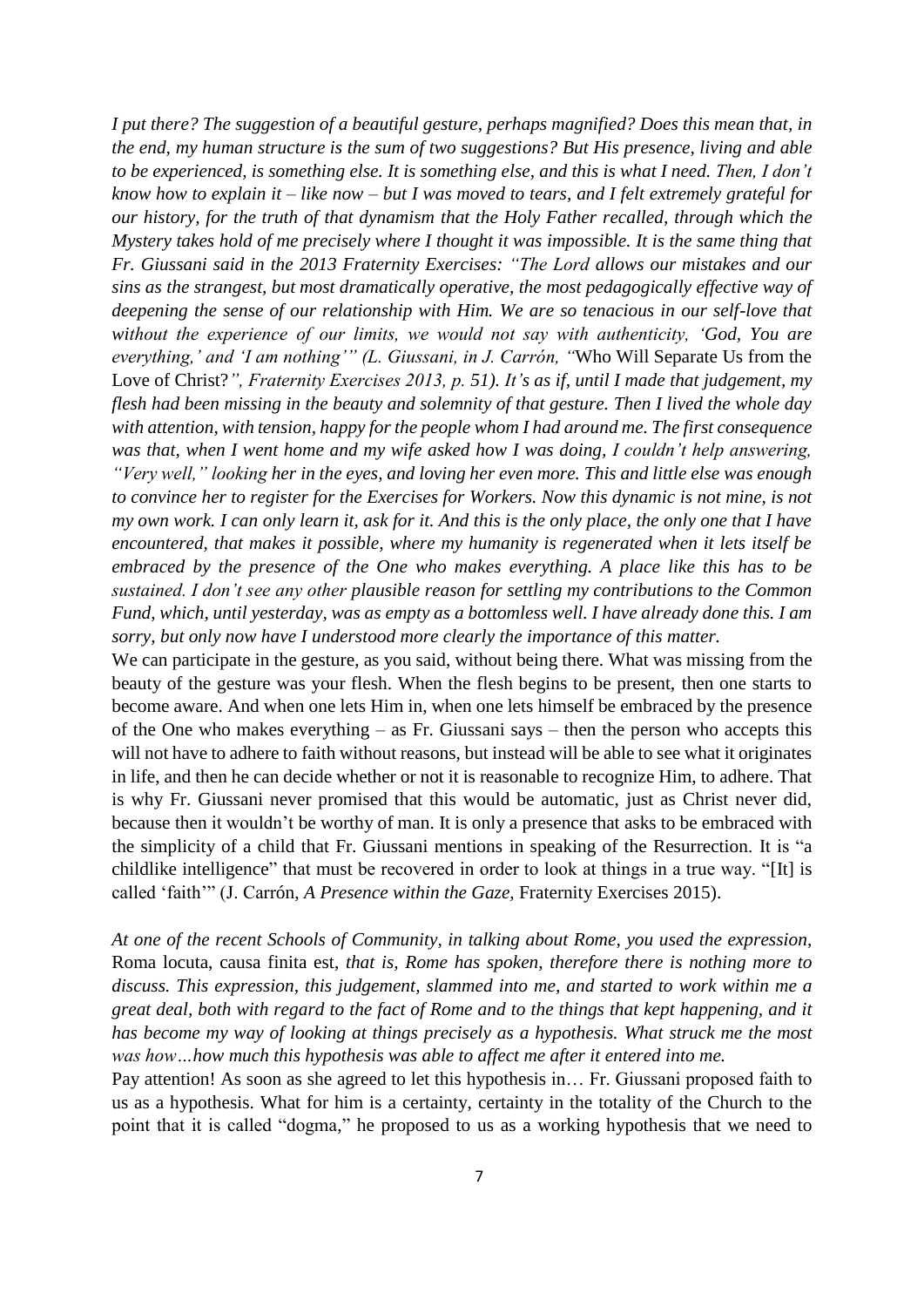*I put there? The suggestion of a beautiful gesture, perhaps magnified? Does this mean that, in the end, my human structure is the sum of two suggestions? But His presence, living and able to be experienced, is something else. It is something else, and this is what I need. Then, I don't know how to explain it – like now – but I was moved to tears, and I felt extremely grateful for our history, for the truth of that dynamism that the Holy Father recalled, through which the Mystery takes hold of me precisely where I thought it was impossible. It is the same thing that Fr. Giussani said in the 2013 Fraternity Exercises: "The Lord allows our mistakes and our sins as the strangest, but most dramatically operative, the most pedagogically effective way of deepening the sense of our relationship with Him. We are so tenacious in our self-love that without the experience of our limits, we would not say with authenticity, 'God, You are everything,' and 'I am nothing'" (L. Giussani, in J. Carrón, "*Who Will Separate Us from the Love of Christ?*", Fraternity Exercises 2013, p. 51). It's as if, until I made that judgement, my flesh had been missing in the beauty and solemnity of that gesture. Then I lived the whole day with attention, with tension, happy for the people whom I had around me. The first consequence was that, when I went home and my wife asked how I was doing, I couldn't help answering, "Very well," looking her in the eyes, and loving her even more. This and little else was enough to convince her to register for the Exercises for Workers. Now this dynamic is not mine, is not my own work. I can only learn it, ask for it. And this is the only place, the only one that I have encountered, that makes it possible, where my humanity is regenerated when it lets itself be embraced by the presence of the One who makes everything. A place like this has to be sustained. I don't see any other plausible reason for settling my contributions to the Common Fund, which, until yesterday, was as empty as a bottomless well. I have already done this. I am sorry, but only now have I understood more clearly the importance of this matter.*

We can participate in the gesture, as you said, without being there. What was missing from the beauty of the gesture was your flesh. When the flesh begins to be present, then one starts to become aware. And when one lets Him in, when one lets himself be embraced by the presence of the One who makes everything – as Fr. Giussani says – then the person who accepts this will not have to adhere to faith without reasons, but instead will be able to see what it originates in life, and then he can decide whether or not it is reasonable to recognize Him, to adhere. That is why Fr. Giussani never promised that this would be automatic, just as Christ never did, because then it wouldn't be worthy of man. It is only a presence that asks to be embraced with the simplicity of a child that Fr. Giussani mentions in speaking of the Resurrection. It is "a childlike intelligence" that must be recovered in order to look at things in a true way. "[It] is called 'faith'" (J. Carrón, *A Presence within the Gaze,* Fraternity Exercises 2015).

*At one of the recent Schools of Community, in talking about Rome, you used the expression,* Roma locuta, causa finita est, *that is, Rome has spoken, therefore there is nothing more to discuss. This expression, this judgement, slammed into me, and started to work within me a great deal, both with regard to the fact of Rome and to the things that kept happening, and it has become my way of looking at things precisely as a hypothesis. What struck me the most was how…how much this hypothesis was able to affect me after it entered into me.*

Pay attention! As soon as she agreed to let this hypothesis in… Fr. Giussani proposed faith to us as a hypothesis. What for him is a certainty, certainty in the totality of the Church to the point that it is called "dogma," he proposed to us as a working hypothesis that we need to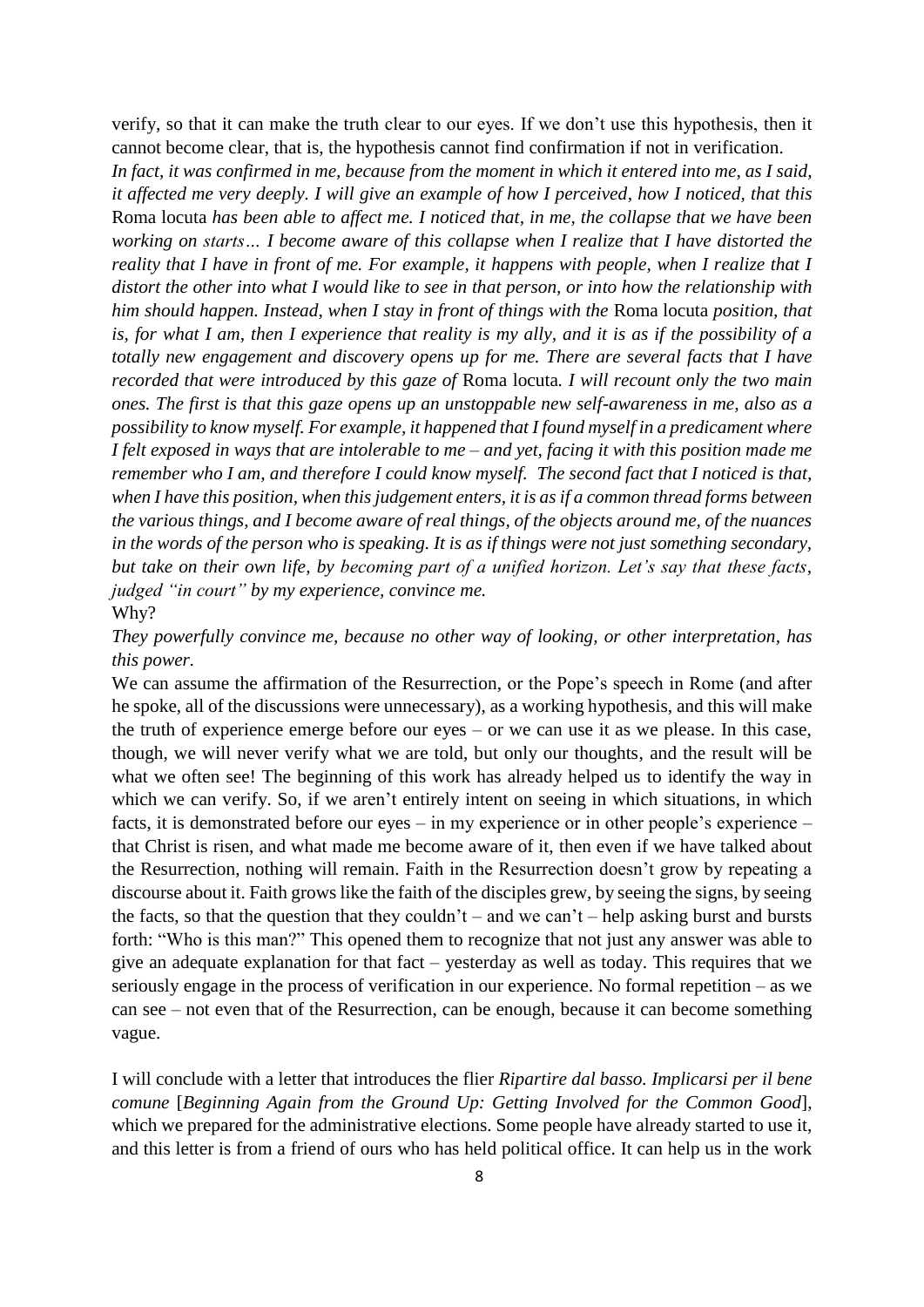verify, so that it can make the truth clear to our eyes. If we don't use this hypothesis, then it cannot become clear, that is, the hypothesis cannot find confirmation if not in verification.

*In fact, it was confirmed in me, because from the moment in which it entered into me, as I said, it affected me very deeply. I will give an example of how I perceived, how I noticed, that this*  Roma locuta *has been able to affect me. I noticed that, in me, the collapse that we have been working on starts… I become aware of this collapse when I realize that I have distorted the reality that I have in front of me. For example, it happens with people, when I realize that I distort the other into what I would like to see in that person, or into how the relationship with him should happen. Instead, when I stay in front of things with the* Roma locuta *position, that is, for what I am, then I experience that reality is my ally, and it is as if the possibility of a totally new engagement and discovery opens up for me. There are several facts that I have recorded that were introduced by this gaze of* Roma locuta*. I will recount only the two main ones. The first is that this gaze opens up an unstoppable new self-awareness in me, also as a possibility to know myself. For example, it happened that I found myself in a predicament where I felt exposed in ways that are intolerable to me – and yet, facing it with this position made me remember who I am, and therefore I could know myself. The second fact that I noticed is that, when I have this position, when this judgement enters, it is as if a common thread forms between the various things, and I become aware of real things, of the objects around me, of the nuances in the words of the person who is speaking. It is as if things were not just something secondary, but take on their own life, by becoming part of a unified horizon. Let's say that these facts, judged "in court" by my experience, convince me.* Why?

*They powerfully convince me, because no other way of looking, or other interpretation, has this power.*

We can assume the affirmation of the Resurrection, or the Pope's speech in Rome (and after he spoke, all of the discussions were unnecessary), as a working hypothesis, and this will make the truth of experience emerge before our eyes – or we can use it as we please. In this case, though, we will never verify what we are told, but only our thoughts, and the result will be what we often see! The beginning of this work has already helped us to identify the way in which we can verify. So, if we aren't entirely intent on seeing in which situations, in which facts, it is demonstrated before our eyes – in my experience or in other people's experience – that Christ is risen, and what made me become aware of it, then even if we have talked about the Resurrection, nothing will remain. Faith in the Resurrection doesn't grow by repeating a discourse about it. Faith grows like the faith of the disciples grew, by seeing the signs, by seeing the facts, so that the question that they couldn't – and we can't – help asking burst and bursts forth: "Who is this man?" This opened them to recognize that not just any answer was able to give an adequate explanation for that fact – yesterday as well as today. This requires that we seriously engage in the process of verification in our experience. No formal repetition – as we can see – not even that of the Resurrection, can be enough, because it can become something vague.

I will conclude with a letter that introduces the flier *Ripartire dal basso. Implicarsi per il bene comune* [*Beginning Again from the Ground Up: Getting Involved for the Common Good*], which we prepared for the administrative elections. Some people have already started to use it, and this letter is from a friend of ours who has held political office. It can help us in the work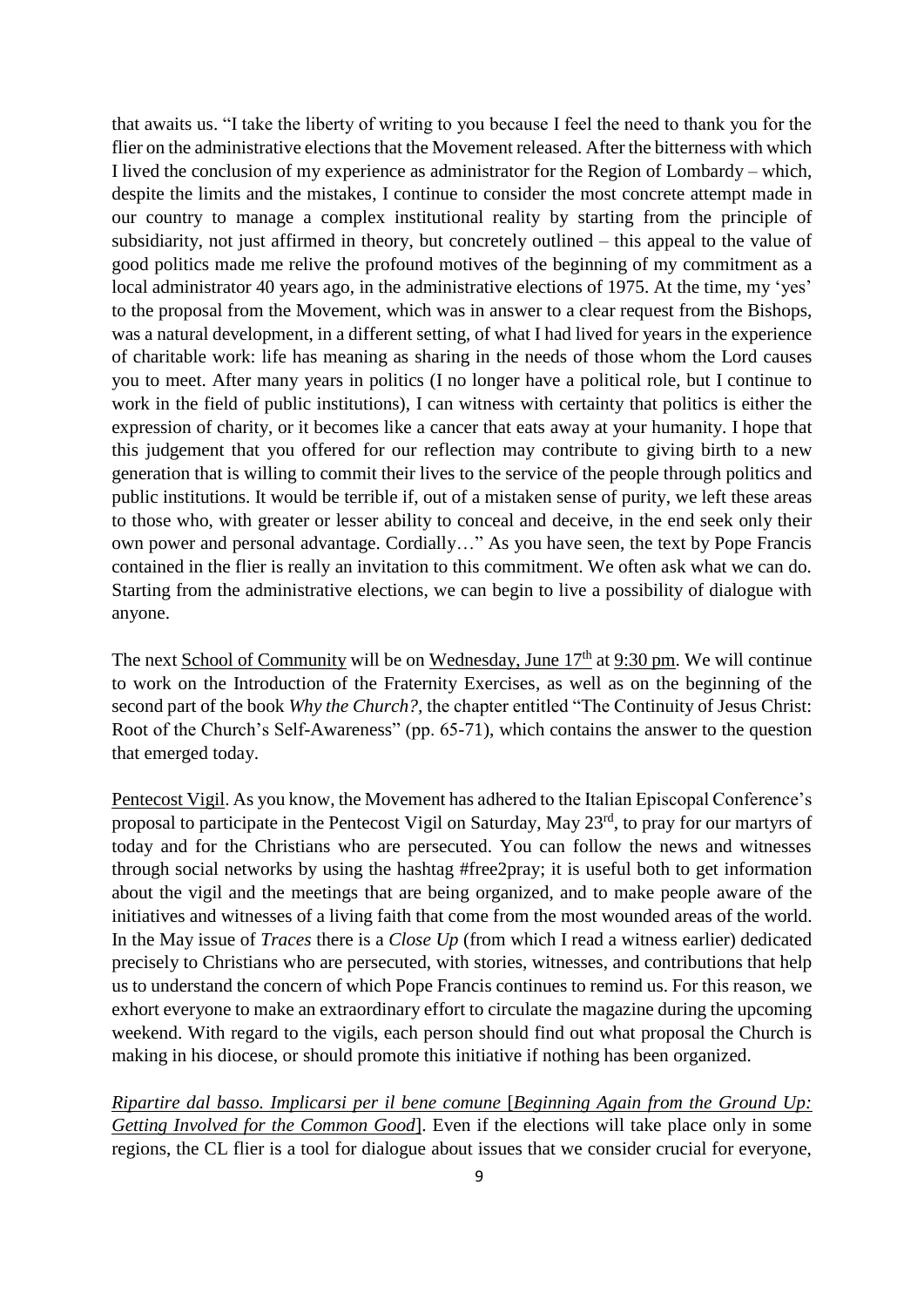that awaits us. "I take the liberty of writing to you because I feel the need to thank you for the flier on the administrative elections that the Movement released. After the bitterness with which I lived the conclusion of my experience as administrator for the Region of Lombardy – which, despite the limits and the mistakes, I continue to consider the most concrete attempt made in our country to manage a complex institutional reality by starting from the principle of subsidiarity, not just affirmed in theory, but concretely outlined – this appeal to the value of good politics made me relive the profound motives of the beginning of my commitment as a local administrator 40 years ago, in the administrative elections of 1975. At the time, my 'yes' to the proposal from the Movement, which was in answer to a clear request from the Bishops, was a natural development, in a different setting, of what I had lived for years in the experience of charitable work: life has meaning as sharing in the needs of those whom the Lord causes you to meet. After many years in politics (I no longer have a political role, but I continue to work in the field of public institutions), I can witness with certainty that politics is either the expression of charity, or it becomes like a cancer that eats away at your humanity. I hope that this judgement that you offered for our reflection may contribute to giving birth to a new generation that is willing to commit their lives to the service of the people through politics and public institutions. It would be terrible if, out of a mistaken sense of purity, we left these areas to those who, with greater or lesser ability to conceal and deceive, in the end seek only their own power and personal advantage. Cordially…" As you have seen, the text by Pope Francis contained in the flier is really an invitation to this commitment. We often ask what we can do. Starting from the administrative elections, we can begin to live a possibility of dialogue with anyone.

The next School of Community will be on Wednesday, June  $17<sup>th</sup>$  at 9:30 pm. We will continue to work on the Introduction of the Fraternity Exercises, as well as on the beginning of the second part of the book *Why the Church?,* the chapter entitled "The Continuity of Jesus Christ: Root of the Church's Self-Awareness" (pp. 65-71), which contains the answer to the question that emerged today.

Pentecost Vigil. As you know, the Movement has adhered to the Italian Episcopal Conference's proposal to participate in the Pentecost Vigil on Saturday, May 23<sup>rd</sup>, to pray for our martyrs of today and for the Christians who are persecuted. You can follow the news and witnesses through social networks by using the hashtag #free2pray; it is useful both to get information about the vigil and the meetings that are being organized, and to make people aware of the initiatives and witnesses of a living faith that come from the most wounded areas of the world. In the May issue of *Traces* there is a *Close Up* (from which I read a witness earlier) dedicated precisely to Christians who are persecuted, with stories, witnesses, and contributions that help us to understand the concern of which Pope Francis continues to remind us. For this reason, we exhort everyone to make an extraordinary effort to circulate the magazine during the upcoming weekend. With regard to the vigils, each person should find out what proposal the Church is making in his diocese, or should promote this initiative if nothing has been organized.

*Ripartire dal basso. Implicarsi per il bene comune* [*Beginning Again from the Ground Up: Getting Involved for the Common Good*]. Even if the elections will take place only in some regions, the CL flier is a tool for dialogue about issues that we consider crucial for everyone,